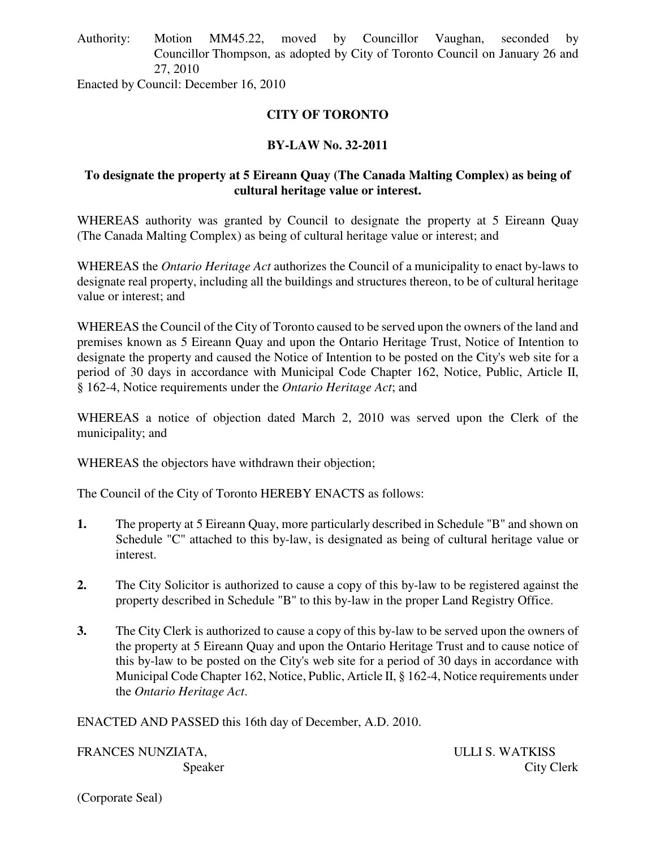Authority: Motion MM45.22, moved by Councillor Vaughan, seconded by Councillor Thompson, as adopted by City of Toronto Council on January 26 and 27, 2010

Enacted by Council: December 16, 2010

# **CITY OF TORONTO**

# **BY-LAW No. 32-2011**

### **To designate the property at 5 Eireann Quay (The Canada Malting Complex) as being of cultural heritage value or interest.**

WHEREAS authority was granted by Council to designate the property at 5 Eireann Quay (The Canada Malting Complex) as being of cultural heritage value or interest; and

WHEREAS the *Ontario Heritage Act* authorizes the Council of a municipality to enact by-laws to designate real property, including all the buildings and structures thereon, to be of cultural heritage value or interest; and

WHEREAS the Council of the City of Toronto caused to be served upon the owners of the land and premises known as 5 Eireann Quay and upon the Ontario Heritage Trust, Notice of Intention to designate the property and caused the Notice of Intention to be posted on the City's web site for a period of 30 days in accordance with Municipal Code Chapter 162, Notice, Public, Article II, § 162-4, Notice requirements under the *Ontario Heritage Act*; and

WHEREAS a notice of objection dated March 2, 2010 was served upon the Clerk of the municipality; and

WHEREAS the objectors have withdrawn their objection;

The Council of the City of Toronto HEREBY ENACTS as follows:

- **1.** The property at 5 Eireann Quay, more particularly described in Schedule "B" and shown on Schedule "C" attached to this by-law, is designated as being of cultural heritage value or interest.
- **2.** The City Solicitor is authorized to cause a copy of this by-law to be registered against the property described in Schedule "B" to this by-law in the proper Land Registry Office.
- **3.** The City Clerk is authorized to cause a copy of this by-law to be served upon the owners of the property at 5 Eireann Quay and upon the Ontario Heritage Trust and to cause notice of this by-law to be posted on the City's web site for a period of 30 days in accordance with Municipal Code Chapter 162, Notice, Public, Article II, § 162-4, Notice requirements under the *Ontario Heritage Act*.

ENACTED AND PASSED this 16th day of December, A.D. 2010.

FRANCES NUNZIATA, ULLI S. WATKISS

Speaker City Clerk

(Corporate Seal)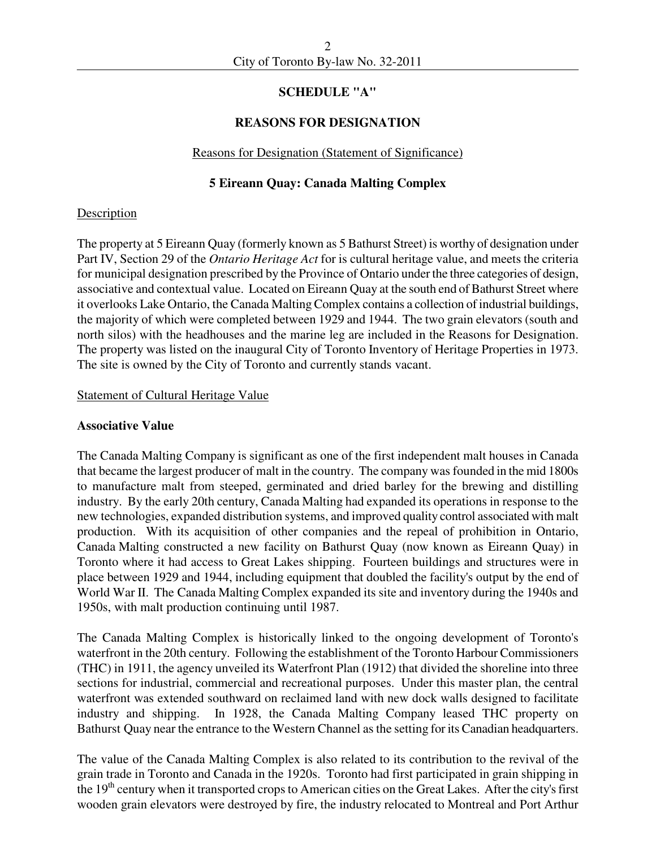### **SCHEDULE "A"**

### **REASONS FOR DESIGNATION**

#### Reasons for Designation (Statement of Significance)

### **5 Eireann Quay: Canada Malting Complex**

#### **Description**

The property at 5 Eireann Quay (formerly known as 5 Bathurst Street) is worthy of designation under Part IV, Section 29 of the *Ontario Heritage Act* for is cultural heritage value, and meets the criteria for municipal designation prescribed by the Province of Ontario under the three categories of design, associative and contextual value. Located on Eireann Quay at the south end of Bathurst Street where it overlooks Lake Ontario, the Canada Malting Complex contains a collection of industrial buildings, the majority of which were completed between 1929 and 1944. The two grain elevators (south and north silos) with the headhouses and the marine leg are included in the Reasons for Designation. The property was listed on the inaugural City of Toronto Inventory of Heritage Properties in 1973. The site is owned by the City of Toronto and currently stands vacant.

#### Statement of Cultural Heritage Value

#### **Associative Value**

The Canada Malting Company is significant as one of the first independent malt houses in Canada that became the largest producer of malt in the country. The company was founded in the mid 1800s to manufacture malt from steeped, germinated and dried barley for the brewing and distilling industry. By the early 20th century, Canada Malting had expanded its operations in response to the new technologies, expanded distribution systems, and improved quality control associated with malt production. With its acquisition of other companies and the repeal of prohibition in Ontario, Canada Malting constructed a new facility on Bathurst Quay (now known as Eireann Quay) in Toronto where it had access to Great Lakes shipping. Fourteen buildings and structures were in place between 1929 and 1944, including equipment that doubled the facility's output by the end of World War II. The Canada Malting Complex expanded its site and inventory during the 1940s and 1950s, with malt production continuing until 1987.

The Canada Malting Complex is historically linked to the ongoing development of Toronto's waterfront in the 20th century. Following the establishment of the Toronto Harbour Commissioners (THC) in 1911, the agency unveiled its Waterfront Plan (1912) that divided the shoreline into three sections for industrial, commercial and recreational purposes. Under this master plan, the central waterfront was extended southward on reclaimed land with new dock walls designed to facilitate industry and shipping. In 1928, the Canada Malting Company leased THC property on Bathurst Quay near the entrance to the Western Channel as the setting for its Canadian headquarters.

The value of the Canada Malting Complex is also related to its contribution to the revival of the grain trade in Toronto and Canada in the 1920s. Toronto had first participated in grain shipping in the  $19<sup>th</sup>$  century when it transported crops to American cities on the Great Lakes. After the city's first wooden grain elevators were destroyed by fire, the industry relocated to Montreal and Port Arthur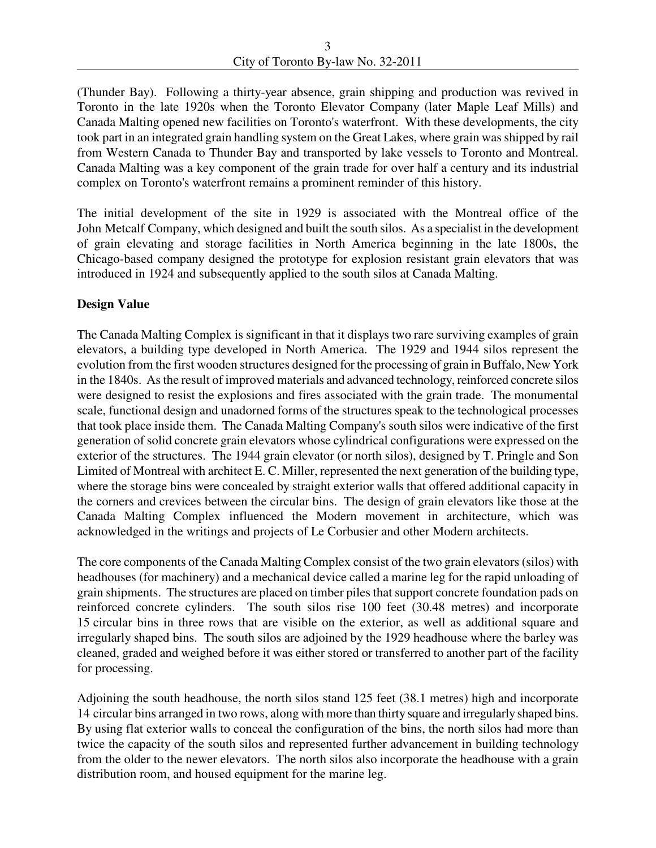(Thunder Bay). Following a thirty-year absence, grain shipping and production was revived in Toronto in the late 1920s when the Toronto Elevator Company (later Maple Leaf Mills) and Canada Malting opened new facilities on Toronto's waterfront. With these developments, the city took part in an integrated grain handling system on the Great Lakes, where grain was shipped by rail from Western Canada to Thunder Bay and transported by lake vessels to Toronto and Montreal. Canada Malting was a key component of the grain trade for over half a century and its industrial complex on Toronto's waterfront remains a prominent reminder of this history.

The initial development of the site in 1929 is associated with the Montreal office of the John Metcalf Company, which designed and built the south silos. As a specialist in the development of grain elevating and storage facilities in North America beginning in the late 1800s, the Chicago-based company designed the prototype for explosion resistant grain elevators that was introduced in 1924 and subsequently applied to the south silos at Canada Malting.

# **Design Value**

The Canada Malting Complex is significant in that it displays two rare surviving examples of grain elevators, a building type developed in North America. The 1929 and 1944 silos represent the evolution from the first wooden structures designed for the processing of grain in Buffalo, New York in the 1840s. As the result of improved materials and advanced technology, reinforced concrete silos were designed to resist the explosions and fires associated with the grain trade. The monumental scale, functional design and unadorned forms of the structures speak to the technological processes that took place inside them. The Canada Malting Company's south silos were indicative of the first generation of solid concrete grain elevators whose cylindrical configurations were expressed on the exterior of the structures. The 1944 grain elevator (or north silos), designed by T. Pringle and Son Limited of Montreal with architect E. C. Miller, represented the next generation of the building type, where the storage bins were concealed by straight exterior walls that offered additional capacity in the corners and crevices between the circular bins. The design of grain elevators like those at the Canada Malting Complex influenced the Modern movement in architecture, which was acknowledged in the writings and projects of Le Corbusier and other Modern architects.

The core components of the Canada Malting Complex consist of the two grain elevators (silos) with headhouses (for machinery) and a mechanical device called a marine leg for the rapid unloading of grain shipments. The structures are placed on timber piles that support concrete foundation pads on reinforced concrete cylinders. The south silos rise 100 feet (30.48 metres) and incorporate 15 circular bins in three rows that are visible on the exterior, as well as additional square and irregularly shaped bins. The south silos are adjoined by the 1929 headhouse where the barley was cleaned, graded and weighed before it was either stored or transferred to another part of the facility for processing.

Adjoining the south headhouse, the north silos stand 125 feet (38.1 metres) high and incorporate 14 circular bins arranged in two rows, along with more than thirty square and irregularly shaped bins. By using flat exterior walls to conceal the configuration of the bins, the north silos had more than twice the capacity of the south silos and represented further advancement in building technology from the older to the newer elevators. The north silos also incorporate the headhouse with a grain distribution room, and housed equipment for the marine leg.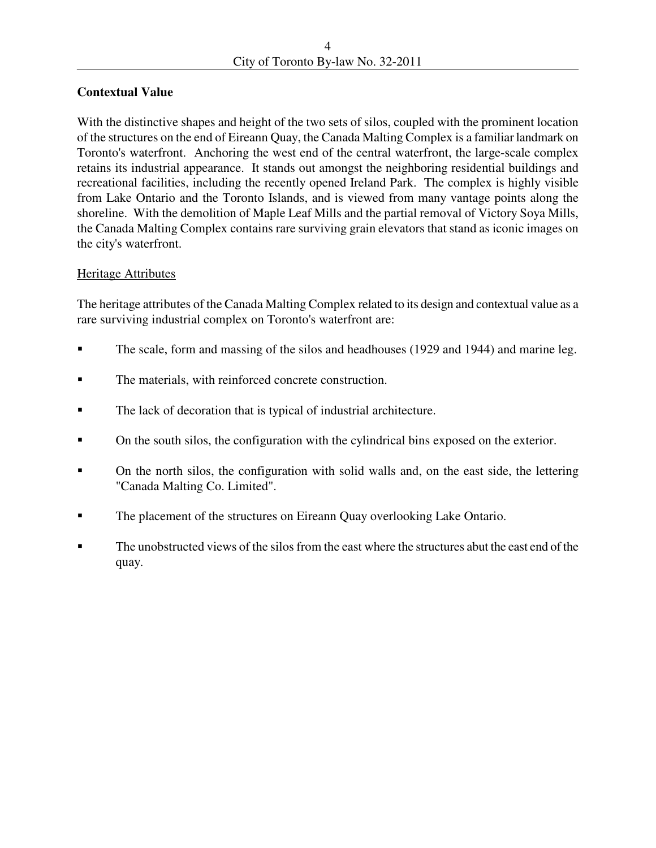# **Contextual Value**

With the distinctive shapes and height of the two sets of silos, coupled with the prominent location of the structures on the end of Eireann Quay, the Canada Malting Complex is a familiar landmark on Toronto's waterfront. Anchoring the west end of the central waterfront, the large-scale complex retains its industrial appearance. It stands out amongst the neighboring residential buildings and recreational facilities, including the recently opened Ireland Park. The complex is highly visible from Lake Ontario and the Toronto Islands, and is viewed from many vantage points along the shoreline. With the demolition of Maple Leaf Mills and the partial removal of Victory Soya Mills, the Canada Malting Complex contains rare surviving grain elevators that stand as iconic images on the city's waterfront.

### Heritage Attributes

The heritage attributes of the Canada Malting Complex related to its design and contextual value as a rare surviving industrial complex on Toronto's waterfront are:

- The scale, form and massing of the silos and headhouses (1929 and 1944) and marine leg.
- The materials, with reinforced concrete construction.
- The lack of decoration that is typical of industrial architecture.
- On the south silos, the configuration with the cylindrical bins exposed on the exterior.
- On the north silos, the configuration with solid walls and, on the east side, the lettering "Canada Malting Co. Limited".
- The placement of the structures on Eireann Quay overlooking Lake Ontario.
- The unobstructed views of the silos from the east where the structures abut the east end of the quay.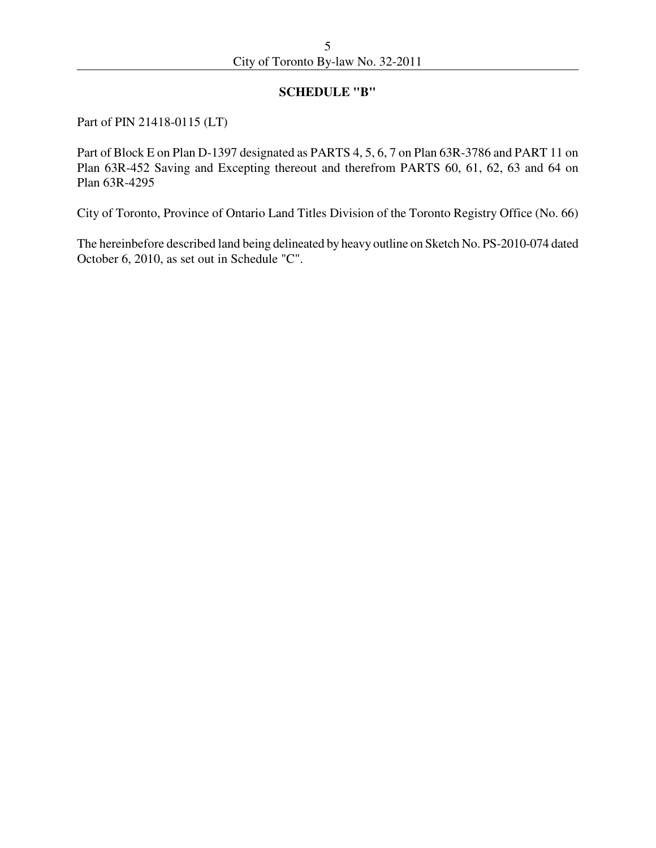#### **SCHEDULE "B"**

Part of PIN 21418-0115 (LT)

Part of Block E on Plan D-1397 designated as PARTS 4, 5, 6, 7 on Plan 63R-3786 and PART 11 on Plan 63R-452 Saving and Excepting thereout and therefrom PARTS 60, 61, 62, 63 and 64 on Plan 63R-4295

City of Toronto, Province of Ontario Land Titles Division of the Toronto Registry Office (No. 66)

The hereinbefore described land being delineated by heavy outline on Sketch No. PS-2010-074 dated October 6, 2010, as set out in Schedule "C".